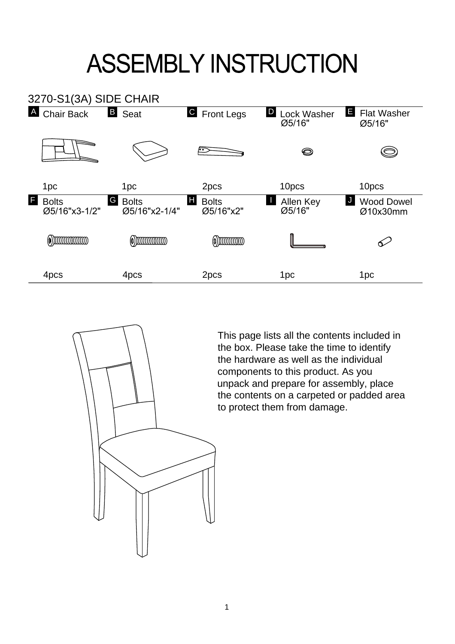## **ASSEMBLY INSTRUCTION**





This page lists all the contents included in the box. Please take the time to identify the hardware as well as the individual components to this product. As you unpack and prepare for assembly, place the contents on a carpeted or padded area to protect them from damage.